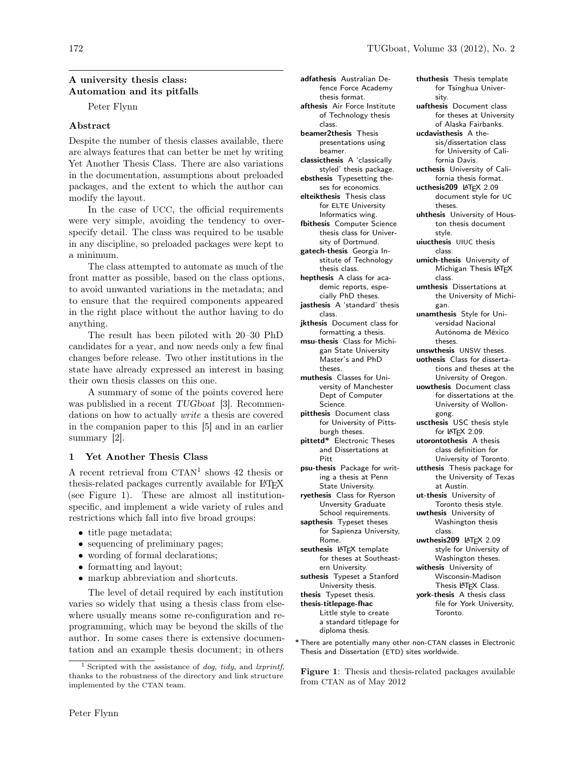# A university thesis class: Automation and its pitfalls

Peter Flynn

# Abstract

Despite the number of thesis classes available, there are always features that can better be met by writing Yet Another Thesis Class. There are also variations in the documentation, assumptions about preloaded packages, and the extent to which the author can modify the layout.

In the case of UCC, the official requirements were very simple, avoiding the tendency to overspecify detail. The class was required to be usable in any discipline, so preloaded packages were kept to a minimum.

The class attempted to automate as much of the front matter as possible, based on the class options, to avoid unwanted variations in the metadata; and to ensure that the required components appeared in the right place without the author having to do anything.

The result has been piloted with 20–30 PhD candidates for a year, and now needs only a few final changes before release. Two other institutions in the state have already expressed an interest in basing their own thesis classes on this one.

A summary of some of the points covered here was published in a recent TUGboat [3]. Recommendations on how to actually write a thesis are covered in the companion paper to this [5] and in an earlier summary [2].

# 1 Yet Another Thesis Class

A recent retrieval from CTAN<sup>1</sup> shows 42 thesis or thesis-related packages currently available for LATEX (see Figure 1). These are almost all institutionspecific, and implement a wide variety of rules and restrictions which fall into five broad groups:

- title page metadata;
- sequencing of preliminary pages;
- wording of formal declarations;
- formatting and layout;
- markup abbreviation and shortcuts.

The level of detail required by each institution varies so widely that using a thesis class from elsewhere usually means some re-configuration and reprogramming, which may be beyond the skills of the author. In some cases there is extensive documentation and an example thesis document; in others adfathesis Australian Defence Force Academy thesis format. afthesis Air Force Institute of Technology thesis class. beamer2thesis Thesis presentations using beamer. classicthesis A 'classically styled' thesis package. ebsthesis Typesetting theses for economics. elteikthesis Thesis class for ELTE University Informatics wing. fbithesis Computer Science thesis class for University of Dortmund. gatech-thesis Georgia Institute of Technology thesis class. hepthesis A class for academic reports, especially PhD theses. jasthesis A 'standard' thesis class. jkthesis Document class for formatting a thesis. msu-thesis Class for Michigan State University Master's and PhD theses. muthesis Classes for University of Manchester Dept of Computer Science. pitthesis Document class for University of Pittsburgh theses. pittetd\* Electronic Theses and Dissertations at Pitt psu-thesis Package for writing a thesis at Penn State University. ryethesis Class for Ryerson Unversity Graduate School requirements. sapthesis Typeset theses for Sapienza University, Rome. seuthesis LATEX template for theses at Southeastern University. suthesis Typeset a Stanford University thesis. thesis Typeset thesis. thesis-titlepage-fhac Little style to create a standard titlepage for diploma thesis.

thuthesis Thesis template for Tsinghua University. uafthesis Document class for theses at University of Alaska Fairbanks. ucdavisthesis A thesis/dissertation class for University of California Davis. ucthesis University of California thesis format. ucthesis209 LATFX 2.09 document style for UC theses. uhthesis University of Houston thesis document style. uiucthesis UIUC thesis class. umich-thesis University of Michigan Thesis LATEX class. umthesis Dissertations at the University of Michigan. unamthesis Style for Universidad Nacional Autónoma de México theses. unswthesis UNSW theses. uothesis Class for dissertations and theses at the University of Oregon. uowthesis Document class for dissertations at the University of Wollongong. uscthesis USC thesis style for LAT<sub>F</sub>X 2.09. utorontothesis A thesis class definition for University of Toronto. utthesis Thesis package for the University of Texas at Austin. ut-thesis University of Toronto thesis style. uwthesis University of Washington thesis class. uwthesis209 LATFX 2.09 style for University of Washington theses. withesis University of Wisconsin-Madison Thesis LATEX Class. york-thesis A thesis class file for York University, Toronto.

\* There are potentially many other non-CTAN classes in Electronic Thesis and Dissertation (ETD) sites worldwide.

Figure 1: Thesis and thesis-related packages available from CTAN as of May 2012

<sup>&</sup>lt;sup>1</sup> Scripted with the assistance of *dog, tidy,* and *lxprintf,* thanks to the robustness of the directory and link structure implemented by the CTAN team.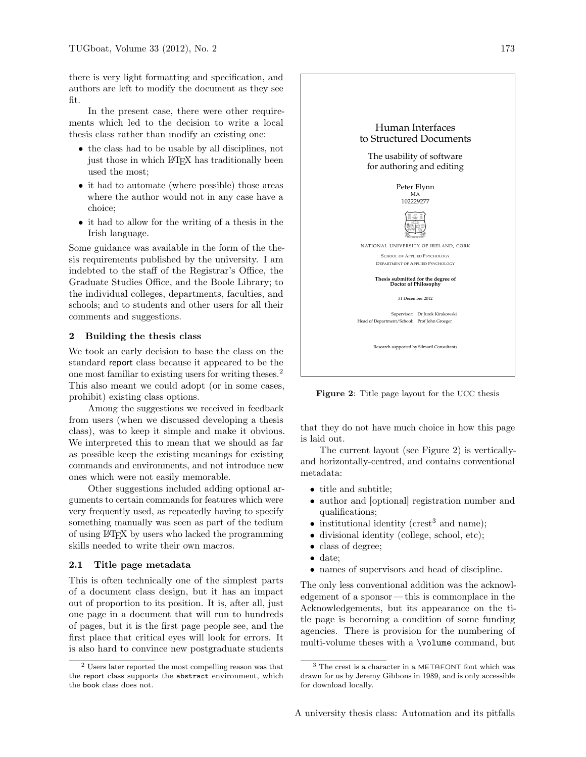there is very light formatting and specification, and authors are left to modify the document as they see fit.

In the present case, there were other requirements which led to the decision to write a local thesis class rather than modify an existing one:

- the class had to be usable by all disciplines, not just those in which LAT<sub>EX</sub> has traditionally been used the most;
- it had to automate (where possible) those areas where the author would not in any case have a choice;
- it had to allow for the writing of a thesis in the Irish language.

Some guidance was available in the form of the thesis requirements published by the university. I am indebted to the staff of the Registrar's Office, the Graduate Studies Office, and the Boole Library; to the individual colleges, departments, faculties, and schools; and to students and other users for all their comments and suggestions.

#### 2 Building the thesis class

We took an early decision to base the class on the standard report class because it appeared to be the one most familiar to existing users for writing theses.<sup>2</sup> This also meant we could adopt (or in some cases, prohibit) existing class options.

Among the suggestions we received in feedback from users (when we discussed developing a thesis class), was to keep it simple and make it obvious. We interpreted this to mean that we should as far as possible keep the existing meanings for existing commands and environments, and not introduce new ones which were not easily memorable.

Other suggestions included adding optional arguments to certain commands for features which were very frequently used, as repeatedly having to specify something manually was seen as part of the tedium of using LATEX by users who lacked the programming skills needed to write their own macros.

#### 2.1 Title page metadata

This is often technically one of the simplest parts of a document class design, but it has an impact out of proportion to its position. It is, after all, just one page in a document that will run to hundreds of pages, but it is the first page people see, and the first place that critical eyes will look for errors. It is also hard to convince new postgraduate students



Figure 2: Title page layout for the UCC thesis

that they do not have much choice in how this page is laid out.

The current layout (see Figure 2) is verticallyand horizontally-centred, and contains conventional metadata:

- title and subtitle;
- author and [optional] registration number and qualifications;
- institutional identity (crest<sup>3</sup> and name);
- divisional identity (college, school, etc);
- class of degree;
- date;
- names of supervisors and head of discipline.

The only less conventional addition was the acknowledgement of a sponsor — this is commonplace in the Acknowledgements, but its appearance on the title page is becoming a condition of some funding agencies. There is provision for the numbering of multi-volume theses with a \volume command, but

<sup>2</sup> Users later reported the most compelling reason was that the report class supports the abstract environment, which the book class does not.

<sup>3</sup> The crest is a character in a METAFONT font which was drawn for us by Jeremy Gibbons in 1989, and is only accessible for download locally.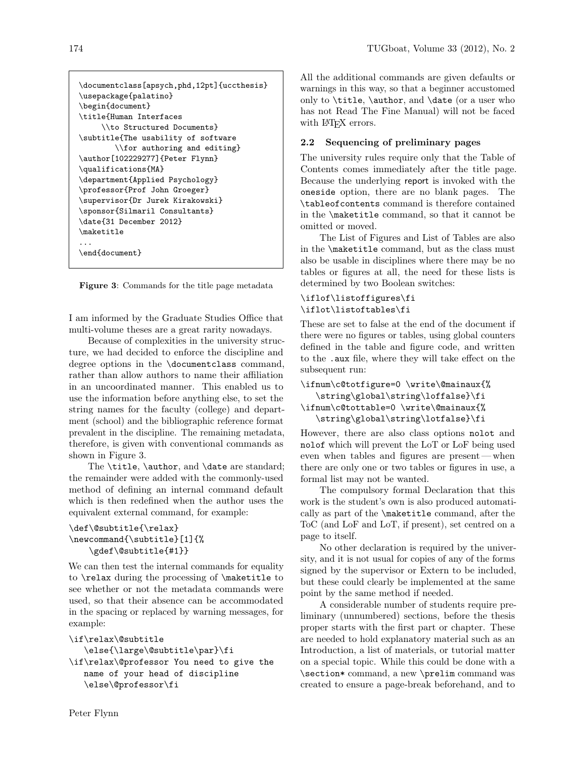```
\documentclass[apsych,phd,12pt]{uccthesis}
\usepackage{palatino}
\begin{document}
\title{Human Interfaces
     \\to Structured Documents}
\subtitle{The usability of software
        \\for authoring and editing}
\author[102229277]{Peter Flynn}
\qualifications{MA}
\department{Applied Psychology}
\professor{Prof John Groeger}
\supervisor{Dr Jurek Kirakowski}
\sponsor{Silmaril Consultants}
\date{31 December 2012}
\maketitle
...
\end{document}
```
Figure 3: Commands for the title page metadata

I am informed by the Graduate Studies Office that multi-volume theses are a great rarity nowadays.

Because of complexities in the university structure, we had decided to enforce the discipline and degree options in the \documentclass command, rather than allow authors to name their affiliation in an uncoordinated manner. This enabled us to use the information before anything else, to set the string names for the faculty (college) and department (school) and the bibliographic reference format prevalent in the discipline. The remaining metadata, therefore, is given with conventional commands as shown in Figure 3.

The \title, \author, and \date are standard; the remainder were added with the commonly-used method of defining an internal command default which is then redefined when the author uses the equivalent external command, for example:

```
\def\@subtitle{\relax}
\newcommand{\subtitle}[1]{%
   \gdef\@subtitle{#1}}
```
We can then test the internal commands for equality to \relax during the processing of \maketitle to see whether or not the metadata commands were used, so that their absence can be accommodated in the spacing or replaced by warning messages, for example:

```
\if\relax\@subtitle
   \else{\large\@subtitle\par}\fi
\if\relax\@professor You need to give the
   name of your head of discipline
   \else\@professor\fi
```
All the additional commands are given defaults or warnings in this way, so that a beginner accustomed only to \title, \author, and \date (or a user who has not Read The Fine Manual) will not be faced with LAT<sub>EX</sub> errors.

# 2.2 Sequencing of preliminary pages

The university rules require only that the Table of Contents comes immediately after the title page. Because the underlying report is invoked with the oneside option, there are no blank pages. The \tableofcontents command is therefore contained in the \maketitle command, so that it cannot be omitted or moved.

The List of Figures and List of Tables are also in the \maketitle command, but as the class must also be usable in disciplines where there may be no tables or figures at all, the need for these lists is determined by two Boolean switches:

# \iflof\listoffigures\fi \iflot\listoftables\fi

These are set to false at the end of the document if there were no figures or tables, using global counters defined in the table and figure code, and written to the .aux file, where they will take effect on the subsequent run:

```
\ifnum\c@totfigure=0 \write\@mainaux{%
   \string\global\string\loffalse}\fi
\ifnum\c@tottable=0 \write\@mainaux{%
   \string\global\string\lotfalse}\fi
```
However, there are also class options nolot and nolof which will prevent the LoT or LoF being used even when tables and figures are present— when there are only one or two tables or figures in use, a formal list may not be wanted.

The compulsory formal Declaration that this work is the student's own is also produced automatically as part of the \maketitle command, after the ToC (and LoF and LoT, if present), set centred on a page to itself.

No other declaration is required by the university, and it is not usual for copies of any of the forms signed by the supervisor or Extern to be included, but these could clearly be implemented at the same point by the same method if needed.

A considerable number of students require preliminary (unnumbered) sections, before the thesis proper starts with the first part or chapter. These are needed to hold explanatory material such as an Introduction, a list of materials, or tutorial matter on a special topic. While this could be done with a \section\* command, a new \prelim command was created to ensure a page-break beforehand, and to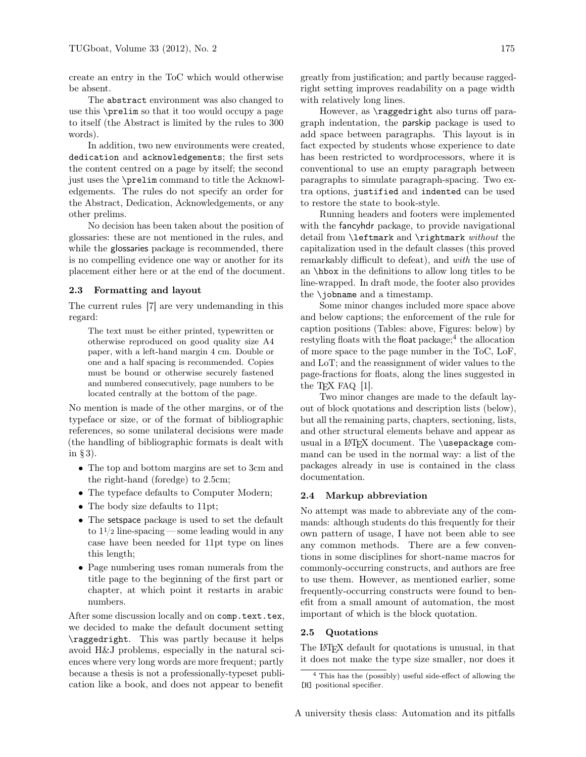create an entry in the ToC which would otherwise be absent.

The abstract environment was also changed to use this \prelim so that it too would occupy a page to itself (the Abstract is limited by the rules to 300 words).

In addition, two new environments were created, dedication and acknowledgements; the first sets the content centred on a page by itself; the second just uses the \prelim command to title the Acknowledgements. The rules do not specify an order for the Abstract, Dedication, Acknowledgements, or any other prelims.

No decision has been taken about the position of glossaries: these are not mentioned in the rules, and while the glossaries package is recommended, there is no compelling evidence one way or another for its placement either here or at the end of the document.

### 2.3 Formatting and layout

The current rules [7] are very undemanding in this regard:

The text must be either printed, typewritten or otherwise reproduced on good quality size A4 paper, with a left-hand margin 4 cm. Double or one and a half spacing is recommended. Copies must be bound or otherwise securely fastened and numbered consecutively, page numbers to be located centrally at the bottom of the page.

No mention is made of the other margins, or of the typeface or size, or of the format of bibliographic references, so some unilateral decisions were made (the handling of bibliographic formats is dealt with in § 3).

- The top and bottom margins are set to 3cm and the right-hand (foredge) to 2.5cm;
- The typeface defaults to Computer Modern;
- The body size defaults to 11pt;
- The setspace package is used to set the default to  $1\frac{1}{2}$  line-spacing — some leading would in any case have been needed for 11pt type on lines this length;
- Page numbering uses roman numerals from the title page to the beginning of the first part or chapter, at which point it restarts in arabic numbers.

After some discussion locally and on comp.text.tex, we decided to make the default document setting \raggedright. This was partly because it helps avoid H&J problems, especially in the natural sciences where very long words are more frequent; partly because a thesis is not a professionally-typeset publication like a book, and does not appear to benefit greatly from justification; and partly because raggedright setting improves readability on a page width with relatively long lines.

However, as \raggedright also turns off paragraph indentation, the parskip package is used to add space between paragraphs. This layout is in fact expected by students whose experience to date has been restricted to wordprocessors, where it is conventional to use an empty paragraph between paragraphs to simulate paragraph-spacing. Two extra options, justified and indented can be used to restore the state to book-style.

Running headers and footers were implemented with the fancyhdr package, to provide navigational detail from **\leftmark** and **\rightmark** without the capitalization used in the default classes (this proved remarkably difficult to defeat), and with the use of an \hbox in the definitions to allow long titles to be line-wrapped. In draft mode, the footer also provides the \jobname and a timestamp.

Some minor changes included more space above and below captions; the enforcement of the rule for caption positions (Tables: above, Figures: below) by  $restyling$  floats with the float package;<sup>4</sup> the allocation of more space to the page number in the ToC, LoF, and LoT; and the reassignment of wider values to the page-fractions for floats, along the lines suggested in the T<sub>F</sub>X FAQ [1].

Two minor changes are made to the default layout of block quotations and description lists (below), but all the remaining parts, chapters, sectioning, lists, and other structural elements behave and appear as usual in a LAT<sub>F</sub>X document. The \usepackage command can be used in the normal way: a list of the packages already in use is contained in the class documentation.

#### 2.4 Markup abbreviation

No attempt was made to abbreviate any of the commands: although students do this frequently for their own pattern of usage, I have not been able to see any common methods. There are a few conventions in some disciplines for short-name macros for commonly-occurring constructs, and authors are free to use them. However, as mentioned earlier, some frequently-occurring constructs were found to benefit from a small amount of automation, the most important of which is the block quotation.

#### 2.5 Quotations

The LATEX default for quotations is unusual, in that it does not make the type size smaller, nor does it

<sup>4</sup> This has the (possibly) useful side-effect of allowing the [H] positional specifier.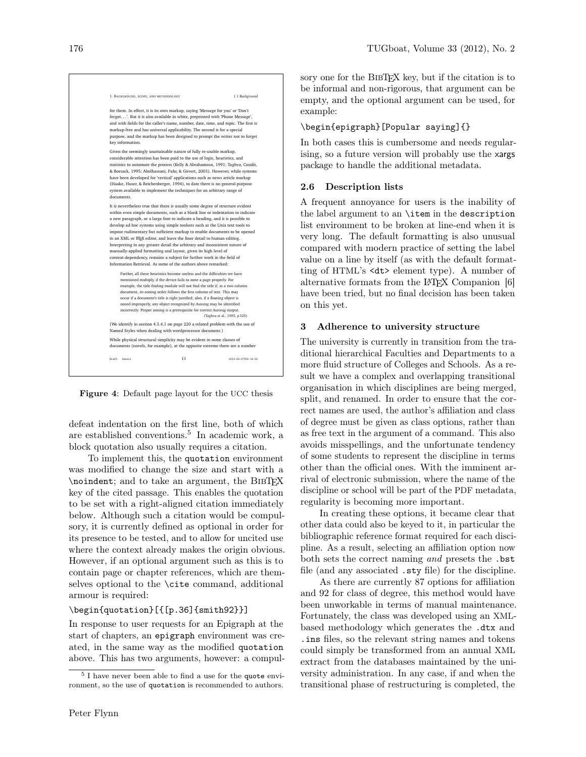

Figure 4: Default page layout for the UCC thesis

defeat indentation on the first line, both of which are established conventions.<sup>5</sup> In academic work, a block quotation also usually requires a citation.

To implement this, the quotation environment was modified to change the size and start with a \noindent; and to take an argument, the BIBTEX key of the cited passage. This enables the quotation to be set with a right-aligned citation immediately below. Although such a citation would be compulsory, it is currently defined as optional in order for its presence to be tested, and to allow for uncited use where the context already makes the origin obvious. However, if an optional argument such as this is to contain page or chapter references, which are themselves optional to the \cite command, additional armour is required:

### \begin{quotation}[{[p.36]{smith92}}]

In response to user requests for an Epigraph at the start of chapters, an epigraph environment was created, in the same way as the modified quotation above. This has two arguments, however: a compul-

Peter Flynn

sory one for the BIBT<sub>EX</sub> key, but if the citation is to be informal and non-rigorous, that argument can be empty, and the optional argument can be used, for example:

## \begin{epigraph}[Popular saying]{}

In both cases this is cumbersome and needs regularising, so a future version will probably use the xargs package to handle the additional metadata.

## 2.6 Description lists

A frequent annoyance for users is the inability of the label argument to an \item in the description list environment to be broken at line-end when it is very long. The default formatting is also unusual compared with modern practice of setting the label value on a line by itself (as with the default formatting of HTML's <dt> element type). A number of alternative formats from the L<sup>AT</sup>EX Companion [6] have been tried, but no final decision has been taken on this yet.

## 3 Adherence to university structure

The university is currently in transition from the traditional hierarchical Faculties and Departments to a more fluid structure of Colleges and Schools. As a result we have a complex and overlapping transitional organisation in which disciplines are being merged, split, and renamed. In order to ensure that the correct names are used, the author's affiliation and class of degree must be given as class options, rather than as free text in the argument of a command. This also avoids misspellings, and the unfortunate tendency of some students to represent the discipline in terms other than the official ones. With the imminent arrival of electronic submission, where the name of the discipline or school will be part of the PDF metadata, regularity is becoming more important.

In creating these options, it became clear that other data could also be keyed to it, in particular the bibliographic reference format required for each discipline. As a result, selecting an affiliation option now both sets the correct naming and presets the .bst file (and any associated .sty file) for the discipline.

As there are currently 87 options for affiliation and 92 for class of degree, this method would have been unworkable in terms of manual maintenance. Fortunately, the class was developed using an XMLbased methodology which generates the .dtx and .ins files, so the relevant string names and tokens could simply be transformed from an annual XML extract from the databases maintained by the university administration. In any case, if and when the transitional phase of restructuring is completed, the

<sup>5</sup> I have never been able to find a use for the quote environment, so the use of quotation is recommended to authors.